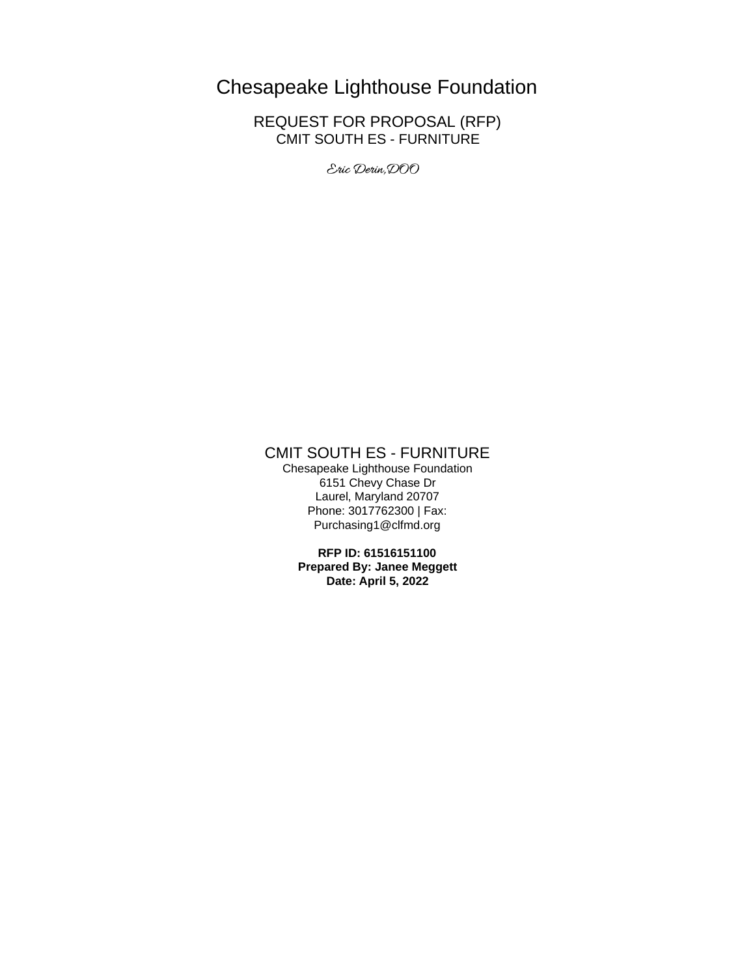# Chesapeake Lighthouse Foundation

REQUEST FOR PROPOSAL (RFP) CMIT SOUTH ES - FURNITURE

Eric Derin, DOO

# CMIT SOUTH ES - FURNITURE

Chesapeake Lighthouse Foundation 6151 Chevy Chase Dr Laurel, Maryland 20707 Phone: 3017762300 | Fax: Purchasing1@clfmd.org

> **RFP ID: 61516151100 Prepared By: Janee Meggett Date: April 5, 2022**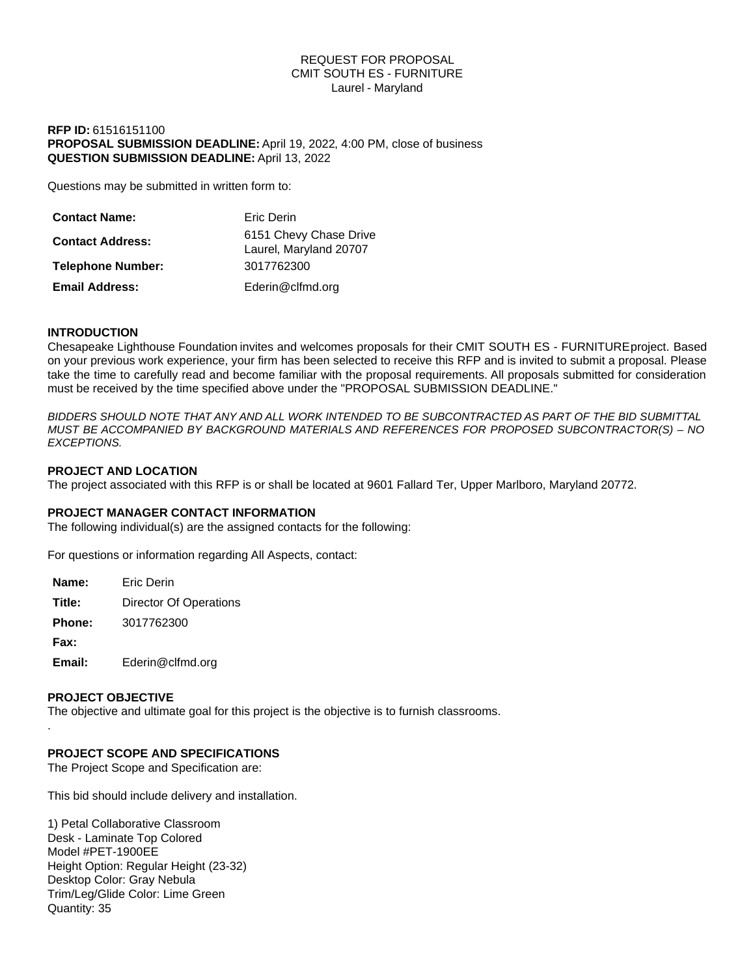# REQUEST FOR PROPOSAL CMIT SOUTH ES - FURNITURE Laurel - Maryland

# **RFP ID:** 61516151100 **PROPOSAL SUBMISSION DEADLINE:** April 19, 2022, 4:00 PM, close of business **QUESTION SUBMISSION DEADLINE:** April 13, 2022

Questions may be submitted in written form to:

| <b>Contact Name:</b>     | Eric Derin                                       |
|--------------------------|--------------------------------------------------|
| <b>Contact Address:</b>  | 6151 Chevy Chase Drive<br>Laurel, Maryland 20707 |
| <b>Telephone Number:</b> | 3017762300                                       |
| <b>Email Address:</b>    | Ederin@clfmd.org                                 |

# **INTRODUCTION**

Chesapeake Lighthouse Foundation invites and welcomes proposals for their CMIT SOUTH ES - FURNITURE project. Based on your previous work experience, your firm has been selected to receive this RFP and is invited to submit a proposal. Please take the time to carefully read and become familiar with the proposal requirements. All proposals submitted for consideration must be received by the time specified above under the "PROPOSAL SUBMISSION DEADLINE."

*BIDDERS SHOULD NOTE THAT ANY AND ALL WORK INTENDED TO BE SUBCONTRACTED AS PART OF THE BID SUBMITTAL MUST BE ACCOMPANIED BY BACKGROUND MATERIALS AND REFERENCES FOR PROPOSED SUBCONTRACTOR(S) – NO EXCEPTIONS.*

# **PROJECT AND LOCATION**

The project associated with this RFP is or shall be located at 9601 Fallard Ter, Upper Marlboro, Maryland 20772.

# **PROJECT MANAGER CONTACT INFORMATION**

The following individual(s) are the assigned contacts for the following:

For questions or information regarding All Aspects, contact:

| Name:         | <b>Fric Derin</b>      |
|---------------|------------------------|
| Title:        | Director Of Operations |
| <b>Phone:</b> | 3017762300             |
| Fax:          |                        |
|               | $\sim$ $\sim$ $\sim$   |

**Email:** Ederin@clfmd.org

# **PROJECT OBJECTIVE**

.

The objective and ultimate goal for this project is the objective is to furnish classrooms.

# **PROJECT SCOPE AND SPECIFICATIONS**

The Project Scope and Specification are:

This bid should include delivery and installation.

1) Petal Collaborative Classroom Desk - Laminate Top Colored Model #PET-1900EE Height Option: Regular Height (23-32) Desktop Color: Gray Nebula Trim/Leg/Glide Color: Lime Green Quantity: 35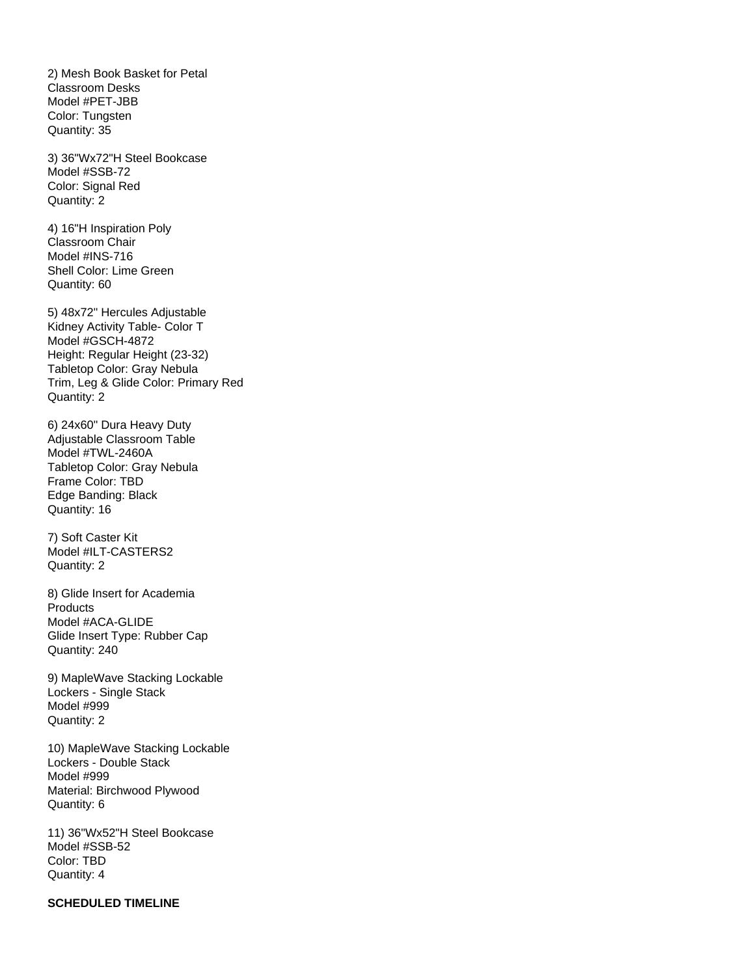2) Mesh Book Basket for Petal Classroom Desks Model #PET-JBB Color: Tungsten Quantity: 35

3) 36"Wx72"H Steel Bookcase Model #SSB-72 Color: Signal Red Quantity: 2

4) 16"H Inspiration Poly Classroom Chair Model #INS-716 Shell Color: Lime Green Quantity: 60

5) 48x72" Hercules Adjustable Kidney Activity Table- Color T Model #GSCH-4872 Height: Regular Height (23-32) Tabletop Color: Gray Nebula Trim, Leg & Glide Color: Primary Red Quantity: 2

6) 24x60" Dura Heavy Duty Adjustable Classroom Table Model #TWL-2460A Tabletop Color: Gray Nebula Frame Color: TBD Edge Banding: Black Quantity: 16

7) Soft Caster Kit Model #ILT-CASTERS2 Quantity: 2

8) Glide Insert for Academia Products Model #ACA-GLIDE Glide Insert Type: Rubber Cap Quantity: 240

9) MapleWave Stacking Lockable Lockers - Single Stack Model #999 Quantity: 2

10) MapleWave Stacking Lockable Lockers - Double Stack Model #999 Material: Birchwood Plywood Quantity: 6

11) 36"Wx52"H Steel Bookcase Model #SSB-52 Color: TBD Quantity: 4

# **SCHEDULED TIMELINE**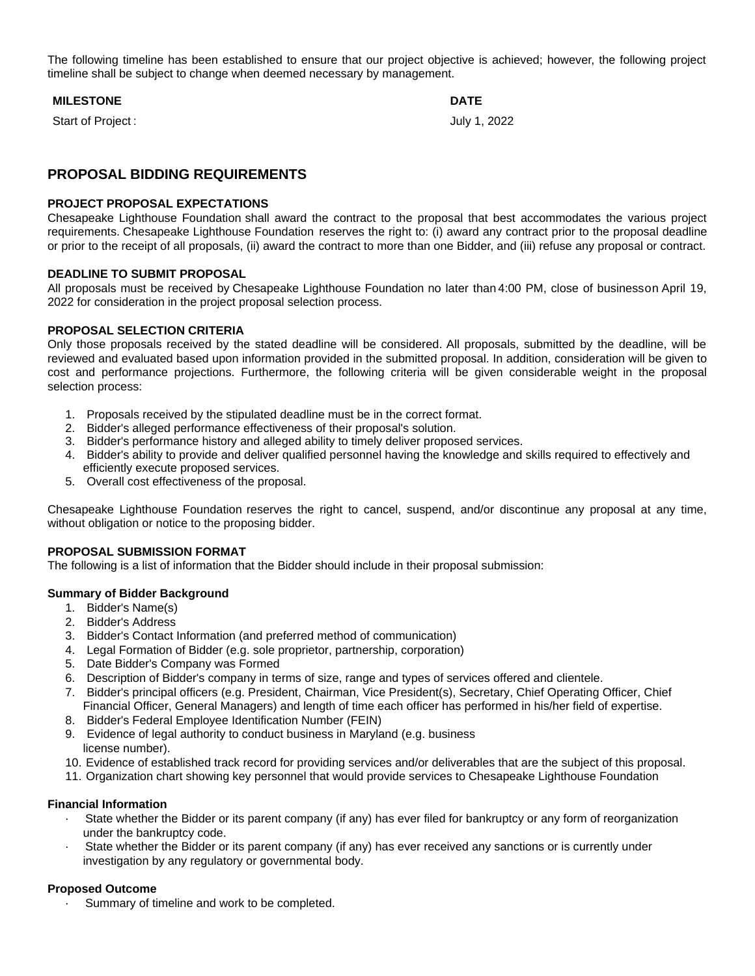The following timeline has been established to ensure that our project objective is achieved; however, the following project timeline shall be subject to change when deemed necessary by management.

# **MILESTONE DATE**

Start of Project :  $July 1, 2022$ 

# **PROPOSAL BIDDING REQUIREMENTS**

# **PROJECT PROPOSAL EXPECTATIONS**

Chesapeake Lighthouse Foundation shall award the contract to the proposal that best accommodates the various project requirements. Chesapeake Lighthouse Foundation reserves the right to: (i) award any contract prior to the proposal deadline or prior to the receipt of all proposals, (ii) award the contract to more than one Bidder, and (iii) refuse any proposal or contract.

# **DEADLINE TO SUBMIT PROPOSAL**

All proposals must be received by Chesapeake Lighthouse Foundation no later than 4:00 PM, close of businesson April 19, 2022 for consideration in the project proposal selection process.

# **PROPOSAL SELECTION CRITERIA**

Only those proposals received by the stated deadline will be considered. All proposals, submitted by the deadline, will be reviewed and evaluated based upon information provided in the submitted proposal. In addition, consideration will be given to cost and performance projections. Furthermore, the following criteria will be given considerable weight in the proposal selection process:

- 1. Proposals received by the stipulated deadline must be in the correct format.
- 2. Bidder's alleged performance effectiveness of their proposal's solution.
- 3. Bidder's performance history and alleged ability to timely deliver proposed services.
- 4. Bidder's ability to provide and deliver qualified personnel having the knowledge and skills required to effectively and efficiently execute proposed services.
- 5. Overall cost effectiveness of the proposal.

Chesapeake Lighthouse Foundation reserves the right to cancel, suspend, and/or discontinue any proposal at any time, without obligation or notice to the proposing bidder.

# **PROPOSAL SUBMISSION FORMAT**

The following is a list of information that the Bidder should include in their proposal submission:

# **Summary of Bidder Background**

- 1. Bidder's Name(s)
- 2. Bidder's Address
- 3. Bidder's Contact Information (and preferred method of communication)
- 4. Legal Formation of Bidder (e.g. sole proprietor, partnership, corporation)
- 5. Date Bidder's Company was Formed
- 6. Description of Bidder's company in terms of size, range and types of services offered and clientele.
- 7. Bidder's principal officers (e.g. President, Chairman, Vice President(s), Secretary, Chief Operating Officer, Chief Financial Officer, General Managers) and length of time each officer has performed in his/her field of expertise.
- 8. Bidder's Federal Employee Identification Number (FEIN)
- 9. Evidence of legal authority to conduct business in Maryland (e.g. business license number).
- 10. Evidence of established track record for providing services and/or deliverables that are the subject of this proposal.
- 11. Organization chart showing key personnel that would provide services to Chesapeake Lighthouse Foundation

# **Financial Information**

- State whether the Bidder or its parent company (if any) has ever filed for bankruptcy or any form of reorganization under the bankruptcy code.
- State whether the Bidder or its parent company (if any) has ever received any sanctions or is currently under investigation by any regulatory or governmental body.

# **Proposed Outcome**

Summary of timeline and work to be completed.